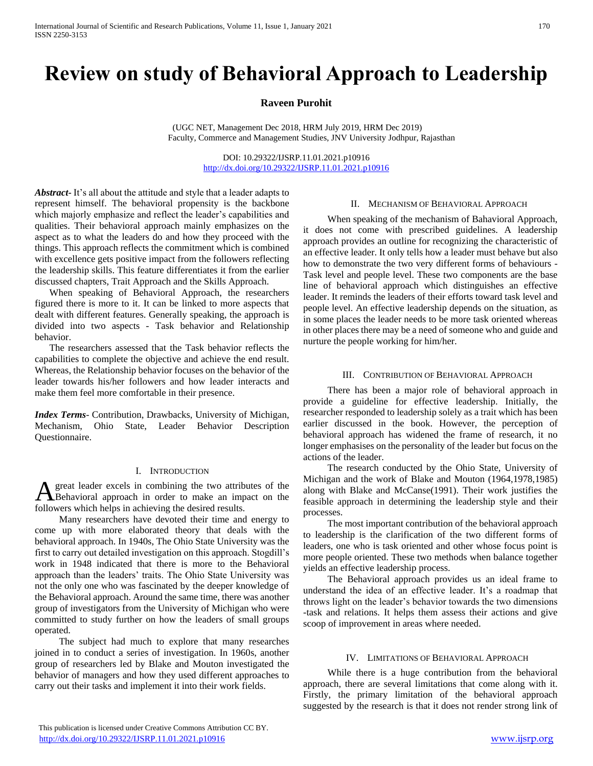# **Review on study of Behavioral Approach to Leadership**

# **Raveen Purohit**

(UGC NET, Management Dec 2018, HRM July 2019, HRM Dec 2019) Faculty, Commerce and Management Studies, JNV University Jodhpur, Rajasthan

> DOI: 10.29322/IJSRP.11.01.2021.p10916 <http://dx.doi.org/10.29322/IJSRP.11.01.2021.p10916>

*Abstract***-** It's all about the attitude and style that a leader adapts to represent himself. The behavioral propensity is the backbone which majorly emphasize and reflect the leader's capabilities and qualities. Their behavioral approach mainly emphasizes on the aspect as to what the leaders do and how they proceed with the things. This approach reflects the commitment which is combined with excellence gets positive impact from the followers reflecting the leadership skills. This feature differentiates it from the earlier discussed chapters, Trait Approach and the Skills Approach.

 When speaking of Behavioral Approach, the researchers figured there is more to it. It can be linked to more aspects that dealt with different features. Generally speaking, the approach is divided into two aspects - Task behavior and Relationship behavior.

 The researchers assessed that the Task behavior reflects the capabilities to complete the objective and achieve the end result. Whereas, the Relationship behavior focuses on the behavior of the leader towards his/her followers and how leader interacts and make them feel more comfortable in their presence.

*Index Terms*- Contribution, Drawbacks, University of Michigan, Mechanism, Ohio State, Leader Behavior Description Questionnaire.

#### I. INTRODUCTION

great leader excels in combining the two attributes of the A great leader excels in combining the two attributes of the Behavioral approach in order to make an impact on the followers which helps in achieving the desired results.

 Many researchers have devoted their time and energy to come up with more elaborated theory that deals with the behavioral approach. In 1940s, The Ohio State University was the first to carry out detailed investigation on this approach. Stogdill's work in 1948 indicated that there is more to the Behavioral approach than the leaders' traits. The Ohio State University was not the only one who was fascinated by the deeper knowledge of the Behavioral approach. Around the same time, there was another group of investigators from the University of Michigan who were committed to study further on how the leaders of small groups operated.

 The subject had much to explore that many researches joined in to conduct a series of investigation. In 1960s, another group of researchers led by Blake and Mouton investigated the behavior of managers and how they used different approaches to carry out their tasks and implement it into their work fields.

#### II. MECHANISM OF BEHAVIORAL APPROACH

 When speaking of the mechanism of Bahavioral Approach, it does not come with prescribed guidelines. A leadership approach provides an outline for recognizing the characteristic of an effective leader. It only tells how a leader must behave but also how to demonstrate the two very different forms of behaviours - Task level and people level. These two components are the base line of behavioral approach which distinguishes an effective leader. It reminds the leaders of their efforts toward task level and people level. An effective leadership depends on the situation, as in some places the leader needs to be more task oriented whereas in other places there may be a need of someone who and guide and nurture the people working for him/her.

#### III. CONTRIBUTION OF BEHAVIORAL APPROACH

 There has been a major role of behavioral approach in provide a guideline for effective leadership. Initially, the researcher responded to leadership solely as a trait which has been earlier discussed in the book. However, the perception of behavioral approach has widened the frame of research, it no longer emphasises on the personality of the leader but focus on the actions of the leader.

 The research conducted by the Ohio State, University of Michigan and the work of Blake and Mouton (1964,1978,1985) along with Blake and McCanse(1991). Their work justifies the feasible approach in determining the leadership style and their processes.

 The most important contribution of the behavioral approach to leadership is the clarification of the two different forms of leaders, one who is task oriented and other whose focus point is more people oriented. These two methods when balance together yields an effective leadership process.

 The Behavioral approach provides us an ideal frame to understand the idea of an effective leader. It's a roadmap that throws light on the leader's behavior towards the two dimensions -task and relations. It helps them assess their actions and give scoop of improvement in areas where needed.

## IV. LIMITATIONS OF BEHAVIORAL APPROACH

 While there is a huge contribution from the behavioral approach, there are several limitations that come along with it. Firstly, the primary limitation of the behavioral approach suggested by the research is that it does not render strong link of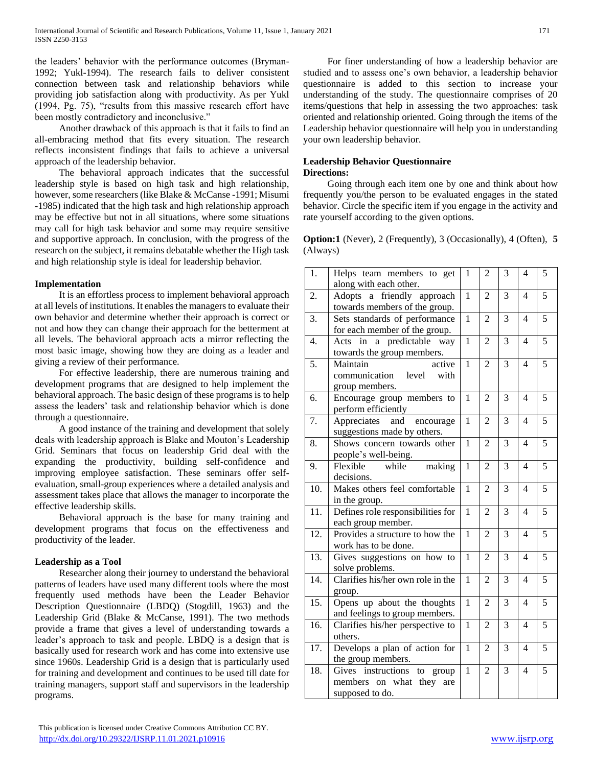the leaders' behavior with the performance outcomes (Bryman-1992; Yukl-1994). The research fails to deliver consistent connection between task and relationship behaviors while providing job satisfaction along with productivity. As per Yukl (1994, Pg. 75), "results from this massive research effort have been mostly contradictory and inconclusive."

 Another drawback of this approach is that it fails to find an all-embracing method that fits every situation. The research reflects inconsistent findings that fails to achieve a universal approach of the leadership behavior.

 The behavioral approach indicates that the successful leadership style is based on high task and high relationship, however, some researchers (like Blake & McCanse -1991; Misumi -1985) indicated that the high task and high relationship approach may be effective but not in all situations, where some situations may call for high task behavior and some may require sensitive and supportive approach. In conclusion, with the progress of the research on the subject, it remains debatable whether the High task and high relationship style is ideal for leadership behavior.

# **Implementation**

 It is an effortless process to implement behavioral approach at all levels of institutions. It enables the managers to evaluate their own behavior and determine whether their approach is correct or not and how they can change their approach for the betterment at all levels. The behavioral approach acts a mirror reflecting the most basic image, showing how they are doing as a leader and giving a review of their performance.

 For effective leadership, there are numerous training and development programs that are designed to help implement the behavioral approach. The basic design of these programs is to help assess the leaders' task and relationship behavior which is done through a questionnaire.

 A good instance of the training and development that solely deals with leadership approach is Blake and Mouton's Leadership Grid. Seminars that focus on leadership Grid deal with the expanding the productivity, building self-confidence and improving employee satisfaction. These seminars offer selfevaluation, small-group experiences where a detailed analysis and assessment takes place that allows the manager to incorporate the effective leadership skills.

 Behavioral approach is the base for many training and development programs that focus on the effectiveness and productivity of the leader.

# **Leadership as a Tool**

 Researcher along their journey to understand the behavioral patterns of leaders have used many different tools where the most frequently used methods have been the Leader Behavior Description Questionnaire (LBDQ) (Stogdill, 1963) and the Leadership Grid (Blake & McCanse, 1991). The two methods provide a frame that gives a level of understanding towards a leader's approach to task and people. LBDQ is a design that is basically used for research work and has come into extensive use since 1960s. Leadership Grid is a design that is particularly used for training and development and continues to be used till date for training managers, support staff and supervisors in the leadership programs.

 For finer understanding of how a leadership behavior are studied and to assess one's own behavior, a leadership behavior questionnaire is added to this section to increase your understanding of the study. The questionnaire comprises of 20 items/questions that help in assessing the two approaches: task oriented and relationship oriented. Going through the items of the Leadership behavior questionnaire will help you in understanding your own leadership behavior.

# **Leadership Behavior Questionnaire Directions:**

 Going through each item one by one and think about how frequently you/the person to be evaluated engages in the stated behavior. Circle the specific item if you engage in the activity and rate yourself according to the given options.

**Option:1** (Never), 2 (Frequently), 3 (Occasionally), 4 (Often), **5**  (Always)

| 1.               | Helps team members to get<br>along with each other.        | 1              | $\overline{2}$ | 3              | $\overline{4}$ | 5              |
|------------------|------------------------------------------------------------|----------------|----------------|----------------|----------------|----------------|
| 2.               | Adopts a friendly approach                                 | $\mathbf{1}$   | $\overline{2}$ | 3              | $\overline{4}$ | 5              |
|                  | towards members of the group.                              |                |                |                |                |                |
| 3.               | Sets standards of performance                              | $\mathbf{1}$   | $\overline{2}$ | $\overline{3}$ | $\overline{4}$ | $\overline{5}$ |
| 4.               | for each member of the group.<br>Acts in a predictable way | $\mathbf{1}$   | $\overline{2}$ | 3              | $\overline{4}$ | 5              |
|                  | towards the group members.                                 |                |                |                |                |                |
| $\overline{5}$ . | Maintain<br>active                                         | $\overline{1}$ | $\overline{2}$ | $\overline{3}$ | $\overline{4}$ | $\overline{5}$ |
|                  | communication<br>level<br>with                             |                |                |                |                |                |
|                  | group members.                                             |                |                |                |                |                |
| 6.               | Encourage group members to                                 | $\mathbf{1}$   | $\overline{2}$ | $\overline{3}$ | $\overline{4}$ | $\overline{5}$ |
|                  | perform efficiently                                        |                |                |                |                |                |
| $\overline{7}$ . | Appreciates and<br>encourage                               | $\mathbf{1}$   | $\overline{2}$ | $\overline{3}$ | $\overline{4}$ | 5              |
|                  | suggestions made by others.                                |                |                |                |                |                |
| 8.               | Shows concern towards other                                | $\mathbf{1}$   | $\overline{2}$ | $\overline{3}$ | $\overline{4}$ | 5              |
|                  | people's well-being.                                       |                |                |                |                |                |
| 9.               | Flexible<br>while<br>making                                | $\mathbf{1}$   | $\overline{2}$ | $\overline{3}$ | $\overline{4}$ | 5              |
|                  | decisions.                                                 |                |                |                |                |                |
| 10.              | Makes others feel comfortable                              | $\mathbf{1}$   | $\overline{2}$ | $\overline{3}$ | $\overline{4}$ | 5              |
|                  | in the group.                                              |                |                |                |                |                |
| 11.              | Defines role responsibilities for                          | 1              | $\overline{2}$ | 3              | $\overline{4}$ | 5              |
|                  | each group member.                                         |                |                |                |                |                |
| 12.              | Provides a structure to how the                            | $\mathbf{1}$   | $\overline{2}$ | 3              | $\overline{4}$ | 5              |
|                  | work has to be done.                                       |                |                |                |                |                |
| 13.              | Gives suggestions on how to                                | 1              | $\overline{2}$ | 3              | $\overline{4}$ | 5              |
|                  | solve problems.                                            |                |                |                |                |                |
| 14.              | Clarifies his/her own role in the                          | $\mathbf{1}$   | $\overline{2}$ | $\overline{3}$ | $\overline{4}$ | 5              |
|                  | group.                                                     |                |                |                |                |                |
| 15.              | Opens up about the thoughts                                | $\mathbf{1}$   | $\overline{2}$ | 3              | $\overline{4}$ | 5              |
|                  | and feelings to group members.                             |                |                |                |                |                |
| 16.              | Clarifies his/her perspective to                           | 1              | $\overline{2}$ | 3              | $\overline{4}$ | 5              |
|                  | others.                                                    |                |                |                |                |                |
| 17.              | Develops a plan of action for                              | $\mathbf{1}$   | $\overline{2}$ | 3              | $\overline{4}$ | 5              |
|                  | the group members.                                         |                |                |                |                |                |
| 18.              | Gives<br>instructions<br>to<br>group                       | $\mathbf{1}$   | $\overline{2}$ | $\overline{3}$ | $\overline{4}$ | $\overline{5}$ |
|                  | members on what<br>they<br>are                             |                |                |                |                |                |
|                  | supposed to do.                                            |                |                |                |                |                |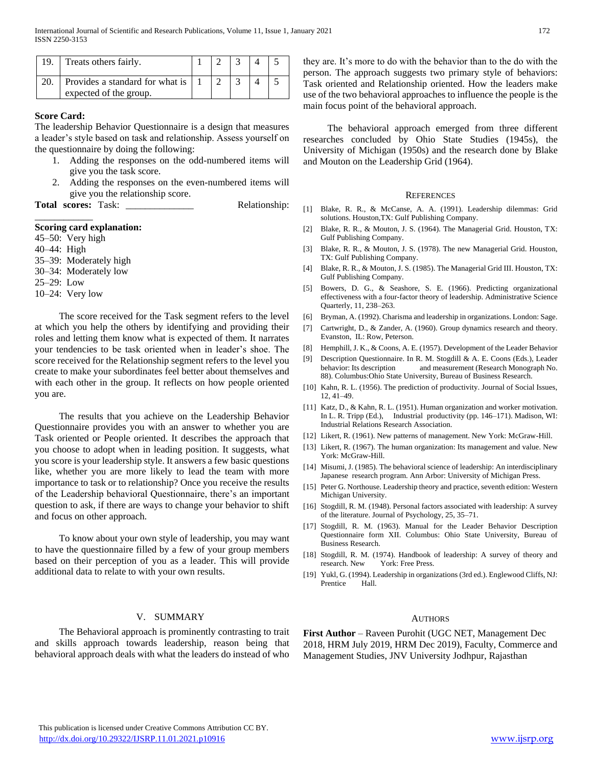| Treats others fairly.                                     |  |  |  |
|-----------------------------------------------------------|--|--|--|
| Provides a standard for what is<br>expected of the group. |  |  |  |

# **Score Card:**

The leadership Behavior Questionnaire is a design that measures a leader's style based on task and relationship. Assess yourself on the questionnaire by doing the following:

- 1. Adding the responses on the odd-numbered items will give you the task score.
- 2. Adding the responses on the even-numbered items will give you the relationship score.

Total scores: Task: \_\_\_\_\_\_\_\_\_\_\_\_\_\_\_\_ Relationship:

#### **Scoring card explanation:**

45–50: Very high 40–44: High 35–39: Moderately high 30–34: Moderately low 25–29: Low

10–24: Very low

\_\_\_\_\_\_\_\_\_\_\_\_

 The score received for the Task segment refers to the level at which you help the others by identifying and providing their roles and letting them know what is expected of them. It narrates your tendencies to be task oriented when in leader's shoe. The score received for the Relationship segment refers to the level you create to make your subordinates feel better about themselves and with each other in the group. It reflects on how people oriented you are.

 The results that you achieve on the Leadership Behavior Questionnaire provides you with an answer to whether you are Task oriented or People oriented. It describes the approach that you choose to adopt when in leading position. It suggests, what you score is your leadership style. It answers a few basic questions like, whether you are more likely to lead the team with more importance to task or to relationship? Once you receive the results of the Leadership behavioral Questionnaire, there's an important question to ask, if there are ways to change your behavior to shift and focus on other approach.

 To know about your own style of leadership, you may want to have the questionnaire filled by a few of your group members based on their perception of you as a leader. This will provide additional data to relate to with your own results.

#### V. SUMMARY

 The Behavioral approach is prominently contrasting to trait and skills approach towards leadership, reason being that behavioral approach deals with what the leaders do instead of who they are. It's more to do with the behavior than to the do with the person. The approach suggests two primary style of behaviors: Task oriented and Relationship oriented. How the leaders make use of the two behavioral approaches to influence the people is the main focus point of the behavioral approach.

 The behavioral approach emerged from three different researches concluded by Ohio State Studies (1945s), the University of Michigan (1950s) and the research done by Blake and Mouton on the Leadership Grid (1964).

#### **REFERENCES**

- [1] Blake, R. R., & McCanse, A. A. (1991). Leadership dilemmas: Grid solutions. Houston,TX: Gulf Publishing Company.
- [2] Blake, R. R., & Mouton, J. S. (1964). The Managerial Grid. Houston, TX: Gulf Publishing Company.
- [3] Blake, R. R., & Mouton, J. S. (1978). The new Managerial Grid. Houston, TX: Gulf Publishing Company.
- [4] Blake, R. R., & Mouton, J. S. (1985). The Managerial Grid III. Houston, TX: Gulf Publishing Company.
- [5] Bowers, D. G., & Seashore, S. E. (1966). Predicting organizational effectiveness with a four-factor theory of leadership. Administrative Science Quarterly, 11, 238–263.
- [6] Bryman, A. (1992). Charisma and leadership in organizations. London: Sage.
- [7] Cartwright, D., & Zander, A. (1960). Group dynamics research and theory. Evanston, IL: Row, Peterson.
- [8] Hemphill, J. K., & Coons, A. E. (1957). Development of the Leader Behavior
- [9] Description Questionnaire. In R. M. Stogdill & A. E. Coons (Eds.), Leader behavior: Its description and measurement (Research Monograph No. 88). Columbus:Ohio State University, Bureau of Business Research.
- [10] Kahn, R. L. (1956). The prediction of productivity. Journal of Social Issues, 12, 41–49.
- [11] Katz, D., & Kahn, R. L. (1951). Human organization and worker motivation. In L. R. Tripp (Ed.), Industrial productivity (pp. 146–171). Madison, WI: Industrial Relations Research Association.
- [12] Likert, R. (1961). New patterns of management. New York: McGraw-Hill.
- [13] Likert, R. (1967). The human organization: Its management and value. New York: McGraw-Hill.
- [14] Misumi, J. (1985). The behavioral science of leadership: An interdisciplinary Japanese research program. Ann Arbor: University of Michigan Press.
- [15] Peter G. Northouse. Leadership theory and practice, seventh edition: Western Michigan University.
- [16] Stogdill, R. M. (1948). Personal factors associated with leadership: A survey of the literature. Journal of Psychology, 25, 35–71.
- [17] Stogdill, R. M. (1963). Manual for the Leader Behavior Description Questionnaire form XII. Columbus: Ohio State University, Bureau of Business Research.
- [18] Stogdill, R. M. (1974). Handbook of leadership: A survey of theory and research. New York: Free Press.
- [19] Yukl, G. (1994). Leadership in organizations (3rd ed.). Englewood Cliffs, NJ: Prentice Hall.

#### AUTHORS

**First Author** – Raveen Purohit (UGC NET, Management Dec 2018, HRM July 2019, HRM Dec 2019), Faculty, Commerce and Management Studies, JNV University Jodhpur, Rajasthan